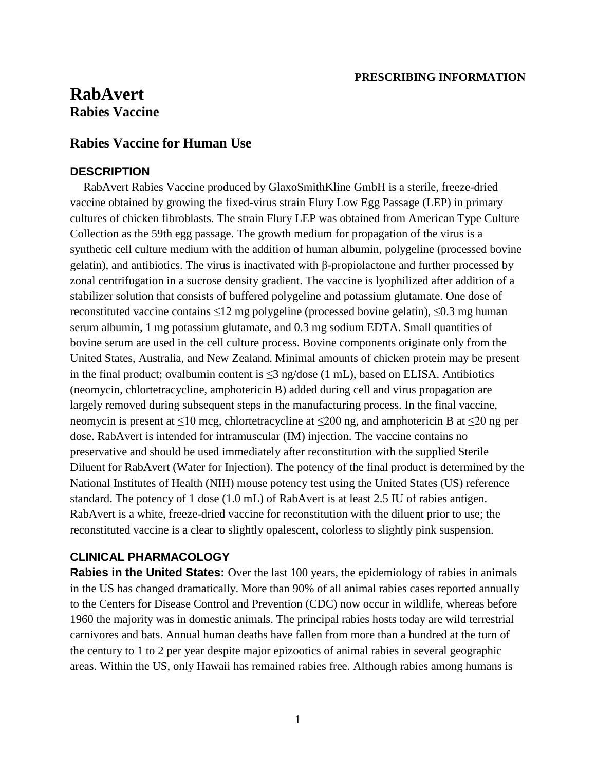#### **PRESCRIBING INFORMATION**

# **RabAvert Rabies Vaccine**

# **Rabies Vaccine for Human Use**

#### **DESCRIPTION**

RabAvert Rabies Vaccine produced by GlaxoSmithKline GmbH is a sterile, freeze-dried vaccine obtained by growing the fixed-virus strain Flury Low Egg Passage (LEP) in primary cultures of chicken fibroblasts. The strain Flury LEP was obtained from American Type Culture Collection as the 59th egg passage. The growth medium for propagation of the virus is a synthetic cell culture medium with the addition of human albumin, polygeline (processed bovine gelatin), and antibiotics. The virus is inactivated with β-propiolactone and further processed by zonal centrifugation in a sucrose density gradient. The vaccine is lyophilized after addition of a stabilizer solution that consists of buffered polygeline and potassium glutamate. One dose of reconstituted vaccine contains ≤12 mg polygeline (processed bovine gelatin), ≤0.3 mg human serum albumin, 1 mg potassium glutamate, and 0.3 mg sodium EDTA. Small quantities of bovine serum are used in the cell culture process. Bovine components originate only from the United States, Australia, and New Zealand. Minimal amounts of chicken protein may be present in the final product; ovalbumin content is  $\leq$ 3 ng/dose (1 mL), based on ELISA. Antibiotics (neomycin, chlortetracycline, amphotericin B) added during cell and virus propagation are largely removed during subsequent steps in the manufacturing process. In the final vaccine, neomycin is present at ≤10 mcg, chlortetracycline at ≤200 ng, and amphotericin B at ≤20 ng per dose. RabAvert is intended for intramuscular (IM) injection. The vaccine contains no preservative and should be used immediately after reconstitution with the supplied Sterile Diluent for RabAvert (Water for Injection). The potency of the final product is determined by the National Institutes of Health (NIH) mouse potency test using the United States (US) reference standard. The potency of 1 dose (1.0 mL) of RabAvert is at least 2.5 IU of rabies antigen. RabAvert is a white, freeze-dried vaccine for reconstitution with the diluent prior to use; the reconstituted vaccine is a clear to slightly opalescent, colorless to slightly pink suspension.

### **CLINICAL PHARMACOLOGY**

**Rabies in the United States:** Over the last 100 years, the epidemiology of rabies in animals in the US has changed dramatically. More than 90% of all animal rabies cases reported annually to the Centers for Disease Control and Prevention (CDC) now occur in wildlife, whereas before 1960 the majority was in domestic animals. The principal rabies hosts today are wild terrestrial carnivores and bats. Annual human deaths have fallen from more than a hundred at the turn of the century to 1 to 2 per year despite major epizootics of animal rabies in several geographic areas. Within the US, only Hawaii has remained rabies free. Although rabies among humans is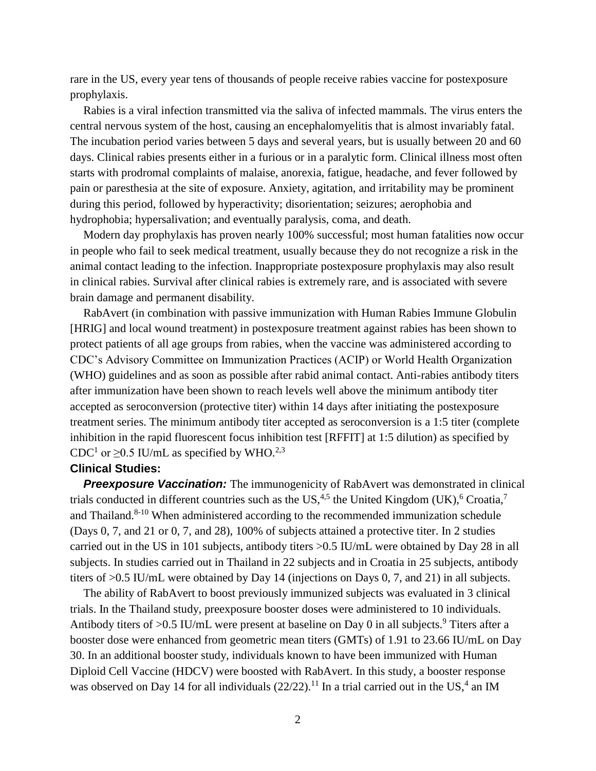rare in the US, every year tens of thousands of people receive rabies vaccine for postexposure prophylaxis.

Rabies is a viral infection transmitted via the saliva of infected mammals. The virus enters the central nervous system of the host, causing an encephalomyelitis that is almost invariably fatal. The incubation period varies between 5 days and several years, but is usually between 20 and 60 days. Clinical rabies presents either in a furious or in a paralytic form. Clinical illness most often starts with prodromal complaints of malaise, anorexia, fatigue, headache, and fever followed by pain or paresthesia at the site of exposure. Anxiety, agitation, and irritability may be prominent during this period, followed by hyperactivity; disorientation; seizures; aerophobia and hydrophobia; hypersalivation; and eventually paralysis, coma, and death.

Modern day prophylaxis has proven nearly 100% successful; most human fatalities now occur in people who fail to seek medical treatment, usually because they do not recognize a risk in the animal contact leading to the infection. Inappropriate postexposure prophylaxis may also result in clinical rabies. Survival after clinical rabies is extremely rare, and is associated with severe brain damage and permanent disability.

RabAvert (in combination with passive immunization with Human Rabies Immune Globulin [HRIG] and local wound treatment) in postexposure treatment against rabies has been shown to protect patients of all age groups from rabies, when the vaccine was administered according to CDC's Advisory Committee on Immunization Practices (ACIP) or World Health Organization (WHO) guidelines and as soon as possible after rabid animal contact. Anti-rabies antibody titers after immunization have been shown to reach levels well above the minimum antibody titer accepted as seroconversion (protective titer) within 14 days after initiating the postexposure treatment series. The minimum antibody titer accepted as seroconversion is a 1:5 titer (complete inhibition in the rapid fluorescent focus inhibition test [RFFIT] at 1:5 dilution) as specified by CDC<sup>1</sup> or  $\geq$ 0.5 IU/mL as specified by WHO.<sup>2,3</sup>

#### **Clinical Studies:**

**Preexposure Vaccination:** The immunogenicity of RabAvert was demonstrated in clinical trials conducted in different countries such as the US,<sup>4,5</sup> the United Kingdom (UK),<sup>6</sup> Croatia,<sup>7</sup> and Thailand. $8-10$  When administered according to the recommended immunization schedule (Days 0, 7, and 21 or 0, 7, and 28), 100% of subjects attained a protective titer. In 2 studies carried out in the US in 101 subjects, antibody titers >0.5 IU/mL were obtained by Day 28 in all subjects. In studies carried out in Thailand in 22 subjects and in Croatia in 25 subjects, antibody titers of >0.5 IU/mL were obtained by Day 14 (injections on Days 0, 7, and 21) in all subjects.

The ability of RabAvert to boost previously immunized subjects was evaluated in 3 clinical trials. In the Thailand study, preexposure booster doses were administered to 10 individuals. Antibody titers of  $>0.5$  IU/mL were present at baseline on Day 0 in all subjects.<sup>9</sup> Titers after a booster dose were enhanced from geometric mean titers (GMTs) of 1.91 to 23.66 IU/mL on Day 30. In an additional booster study, individuals known to have been immunized with Human Diploid Cell Vaccine (HDCV) were boosted with RabAvert. In this study, a booster response was observed on Day 14 for all individuals  $(22/22)$ .<sup>11</sup> In a trial carried out in the US,<sup>4</sup> an IM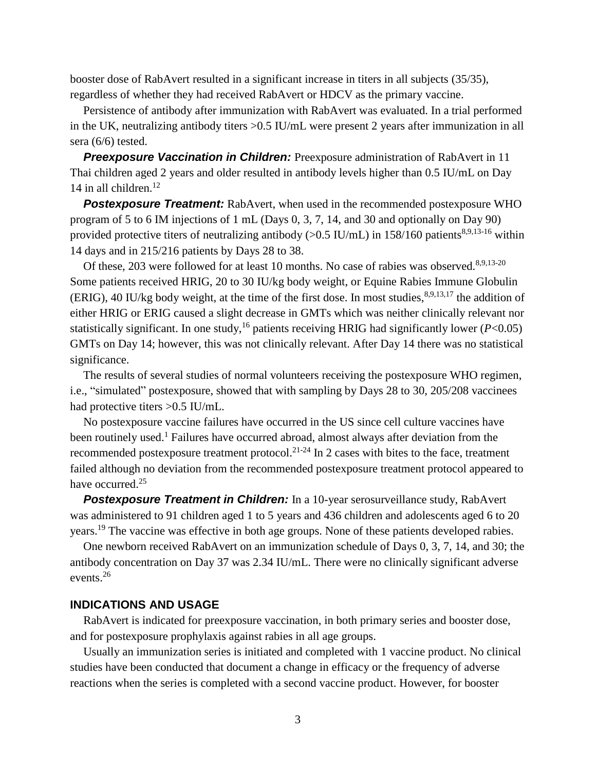booster dose of RabAvert resulted in a significant increase in titers in all subjects (35/35), regardless of whether they had received RabAvert or HDCV as the primary vaccine.

Persistence of antibody after immunization with RabAvert was evaluated. In a trial performed in the UK, neutralizing antibody titers >0.5 IU/mL were present 2 years after immunization in all sera (6/6) tested.

**Preexposure Vaccination in Children:** Preexposure administration of RabAvert in 11 Thai children aged 2 years and older resulted in antibody levels higher than 0.5 IU/mL on Day 14 in all children. $12$ 

**Postexposure Treatment:** RabAvert, when used in the recommended postexposure WHO program of 5 to 6 IM injections of 1 mL (Days 0, 3, 7, 14, and 30 and optionally on Day 90) provided protective titers of neutralizing antibody ( $> 0.5$  IU/mL) in 158/160 patients<sup>8,9,13-16</sup> within 14 days and in 215/216 patients by Days 28 to 38.

Of these, 203 were followed for at least 10 months. No case of rabies was observed.<sup>8,9,13-20</sup> Some patients received HRIG, 20 to 30 IU/kg body weight, or Equine Rabies Immune Globulin (ERIG), 40 IU/kg body weight, at the time of the first dose. In most studies, 8,9,13,17 the addition of either HRIG or ERIG caused a slight decrease in GMTs which was neither clinically relevant nor statistically significant. In one study,<sup>16</sup> patients receiving HRIG had significantly lower ( $P < 0.05$ ) GMTs on Day 14; however, this was not clinically relevant. After Day 14 there was no statistical significance.

The results of several studies of normal volunteers receiving the postexposure WHO regimen, i.e., "simulated" postexposure, showed that with sampling by Days 28 to 30, 205/208 vaccinees had protective titers >0.5 IU/mL.

No postexposure vaccine failures have occurred in the US since cell culture vaccines have been routinely used.<sup>1</sup> Failures have occurred abroad, almost always after deviation from the recommended postexposure treatment protocol.<sup>21-24</sup> In 2 cases with bites to the face, treatment failed although no deviation from the recommended postexposure treatment protocol appeared to have occurred.<sup>25</sup>

**Postexposure Treatment in Children:** In a 10-year serosurveillance study, RabAvert was administered to 91 children aged 1 to 5 years and 436 children and adolescents aged 6 to 20 years.<sup>19</sup> The vaccine was effective in both age groups. None of these patients developed rabies.

One newborn received RabAvert on an immunization schedule of Days 0, 3, 7, 14, and 30; the antibody concentration on Day 37 was 2.34 IU/mL. There were no clinically significant adverse events.<sup>26</sup>

#### **INDICATIONS AND USAGE**

RabAvert is indicated for preexposure vaccination, in both primary series and booster dose, and for postexposure prophylaxis against rabies in all age groups.

Usually an immunization series is initiated and completed with 1 vaccine product. No clinical studies have been conducted that document a change in efficacy or the frequency of adverse reactions when the series is completed with a second vaccine product. However, for booster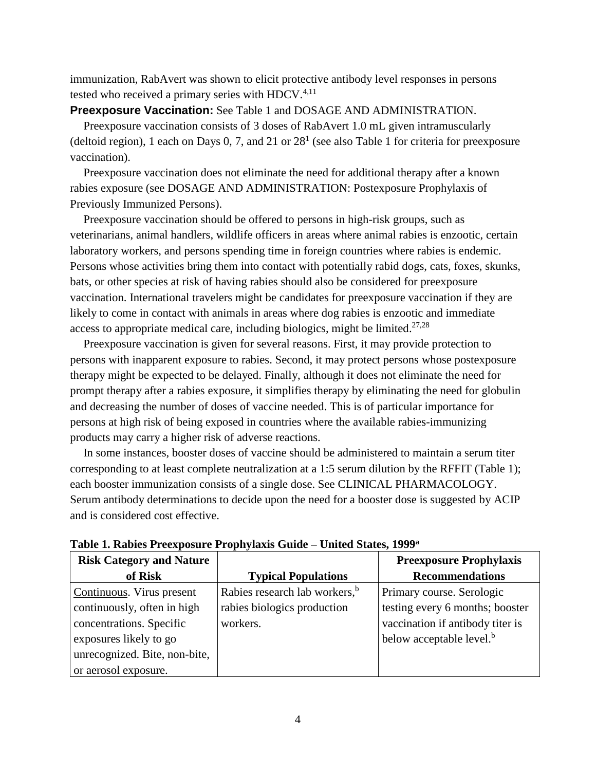immunization, RabAvert was shown to elicit protective antibody level responses in persons tested who received a primary series with HDCV. $4,11$ 

#### **Preexposure Vaccination:** See Table 1 and DOSAGE AND ADMINISTRATION.

Preexposure vaccination consists of 3 doses of RabAvert 1.0 mL given intramuscularly (deltoid region), 1 each on Days 0, 7, and 21 or  $28<sup>1</sup>$  (see also Table 1 for criteria for preexposure vaccination).

Preexposure vaccination does not eliminate the need for additional therapy after a known rabies exposure (see DOSAGE AND ADMINISTRATION: Postexposure Prophylaxis of Previously Immunized Persons).

Preexposure vaccination should be offered to persons in high-risk groups, such as veterinarians, animal handlers, wildlife officers in areas where animal rabies is enzootic, certain laboratory workers, and persons spending time in foreign countries where rabies is endemic. Persons whose activities bring them into contact with potentially rabid dogs, cats, foxes, skunks, bats, or other species at risk of having rabies should also be considered for preexposure vaccination. International travelers might be candidates for preexposure vaccination if they are likely to come in contact with animals in areas where dog rabies is enzootic and immediate access to appropriate medical care, including biologics, might be limited. $27,28$ 

Preexposure vaccination is given for several reasons. First, it may provide protection to persons with inapparent exposure to rabies. Second, it may protect persons whose postexposure therapy might be expected to be delayed. Finally, although it does not eliminate the need for prompt therapy after a rabies exposure, it simplifies therapy by eliminating the need for globulin and decreasing the number of doses of vaccine needed. This is of particular importance for persons at high risk of being exposed in countries where the available rabies-immunizing products may carry a higher risk of adverse reactions.

In some instances, booster doses of vaccine should be administered to maintain a serum titer corresponding to at least complete neutralization at a 1:5 serum dilution by the RFFIT (Table 1); each booster immunization consists of a single dose. See CLINICAL PHARMACOLOGY. Serum antibody determinations to decide upon the need for a booster dose is suggested by ACIP and is considered cost effective.

| <b>Risk Category and Nature</b> |                                           | <b>Preexposure Prophylaxis</b>       |
|---------------------------------|-------------------------------------------|--------------------------------------|
| of Risk                         | <b>Typical Populations</b>                | <b>Recommendations</b>               |
| Continuous. Virus present       | Rabies research lab workers, <sup>b</sup> | Primary course. Serologic            |
| continuously, often in high     | rabies biologics production               | testing every 6 months; booster      |
| concentrations. Specific        | workers.                                  | vaccination if antibody titer is     |
| exposures likely to go          |                                           | below acceptable level. <sup>b</sup> |
| unrecognized. Bite, non-bite,   |                                           |                                      |
| or aerosol exposure.            |                                           |                                      |

**Table 1. Rabies Preexposure Prophylaxis Guide – United States, 1999<sup>a</sup>**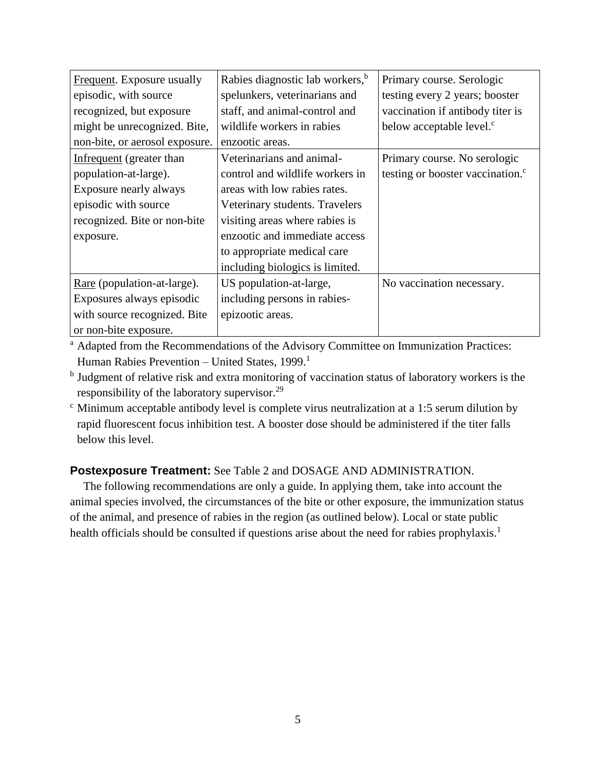| Frequent. Exposure usually     | Rabies diagnostic lab workers, <sup>b</sup> | Primary course. Serologic                    |  |
|--------------------------------|---------------------------------------------|----------------------------------------------|--|
| episodic, with source          | spelunkers, veterinarians and               | testing every 2 years; booster               |  |
| recognized, but exposure       | staff, and animal-control and               | vaccination if antibody titer is             |  |
| might be unrecognized. Bite,   | wildlife workers in rabies                  | below acceptable level. <sup>c</sup>         |  |
| non-bite, or aerosol exposure. | enzootic areas.                             |                                              |  |
| Infrequent (greater than       | Veterinarians and animal-                   | Primary course. No serologic                 |  |
| population-at-large).          | control and wildlife workers in             | testing or booster vaccination. <sup>c</sup> |  |
| Exposure nearly always         | areas with low rabies rates.                |                                              |  |
| episodic with source           | Veterinary students. Travelers              |                                              |  |
| recognized. Bite or non-bite   | visiting areas where rabies is              |                                              |  |
| exposure.                      | enzootic and immediate access               |                                              |  |
|                                | to appropriate medical care                 |                                              |  |
|                                | including biologics is limited.             |                                              |  |
| Rare (population-at-large).    | US population-at-large,                     | No vaccination necessary.                    |  |
| Exposures always episodic      | including persons in rabies-                |                                              |  |
| with source recognized. Bite   | epizootic areas.                            |                                              |  |
| or non-bite exposure.          |                                             |                                              |  |

<sup>a</sup> Adapted from the Recommendations of the Advisory Committee on Immunization Practices: Human Rabies Prevention - United States, 1999.<sup>1</sup>

<sup>b</sup> Judgment of relative risk and extra monitoring of vaccination status of laboratory workers is the responsibility of the laboratory supervisor.<sup>29</sup>

 $\epsilon$  Minimum acceptable antibody level is complete virus neutralization at a 1:5 serum dilution by rapid fluorescent focus inhibition test. A booster dose should be administered if the titer falls below this level.

# **Postexposure Treatment:** See Table 2 and DOSAGE AND ADMINISTRATION.

The following recommendations are only a guide. In applying them, take into account the animal species involved, the circumstances of the bite or other exposure, the immunization status of the animal, and presence of rabies in the region (as outlined below). Local or state public health officials should be consulted if questions arise about the need for rabies prophylaxis.<sup>1</sup>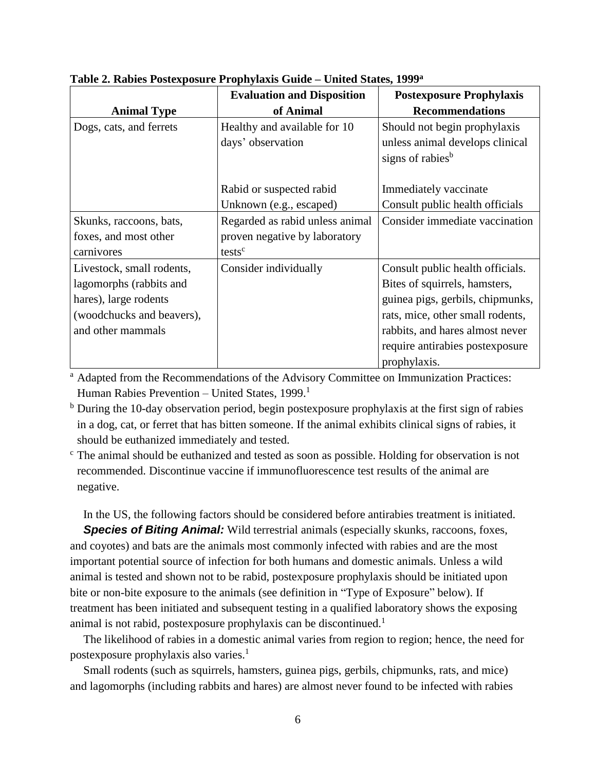|                           | <b>Evaluation and Disposition</b> | <b>Postexposure Prophylaxis</b>  |
|---------------------------|-----------------------------------|----------------------------------|
| <b>Animal Type</b>        | of Animal                         | <b>Recommendations</b>           |
| Dogs, cats, and ferrets   | Healthy and available for 10      | Should not begin prophylaxis     |
|                           | days' observation                 | unless animal develops clinical  |
|                           |                                   | signs of rabies <sup>b</sup>     |
|                           |                                   |                                  |
|                           | Rabid or suspected rabid          | Immediately vaccinate            |
|                           | Unknown (e.g., escaped)           | Consult public health officials  |
| Skunks, raccoons, bats,   | Regarded as rabid unless animal   | Consider immediate vaccination   |
| foxes, and most other     | proven negative by laboratory     |                                  |
| carnivores                | tests <sup>c</sup>                |                                  |
| Livestock, small rodents, | Consider individually             | Consult public health officials. |
| lagomorphs (rabbits and   |                                   | Bites of squirrels, hamsters,    |
| hares), large rodents     |                                   | guinea pigs, gerbils, chipmunks, |
| (woodchucks and beavers), |                                   | rats, mice, other small rodents, |
| and other mammals         |                                   | rabbits, and hares almost never  |
|                           |                                   | require antirabies postexposure  |
|                           |                                   | prophylaxis.                     |

**Table 2. Rabies Postexposure Prophylaxis Guide – United States, 1999<sup>a</sup>**

<sup>a</sup> Adapted from the Recommendations of the Advisory Committee on Immunization Practices: Human Rabies Prevention - United States, 1999.<sup>1</sup>

<sup>b</sup> During the 10-day observation period, begin postexposure prophylaxis at the first sign of rabies in a dog, cat, or ferret that has bitten someone. If the animal exhibits clinical signs of rabies, it should be euthanized immediately and tested.

<sup>c</sup> The animal should be euthanized and tested as soon as possible. Holding for observation is not recommended. Discontinue vaccine if immunofluorescence test results of the animal are negative.

In the US, the following factors should be considered before antirabies treatment is initiated.

**Species of Biting Animal:** Wild terrestrial animals (especially skunks, raccoons, foxes, and coyotes) and bats are the animals most commonly infected with rabies and are the most important potential source of infection for both humans and domestic animals. Unless a wild animal is tested and shown not to be rabid, postexposure prophylaxis should be initiated upon bite or non-bite exposure to the animals (see definition in "Type of Exposure" below). If treatment has been initiated and subsequent testing in a qualified laboratory shows the exposing animal is not rabid, postexposure prophylaxis can be discontinued.<sup>1</sup>

The likelihood of rabies in a domestic animal varies from region to region; hence, the need for postexposure prophylaxis also varies. 1

Small rodents (such as squirrels, hamsters, guinea pigs, gerbils, chipmunks, rats, and mice) and lagomorphs (including rabbits and hares) are almost never found to be infected with rabies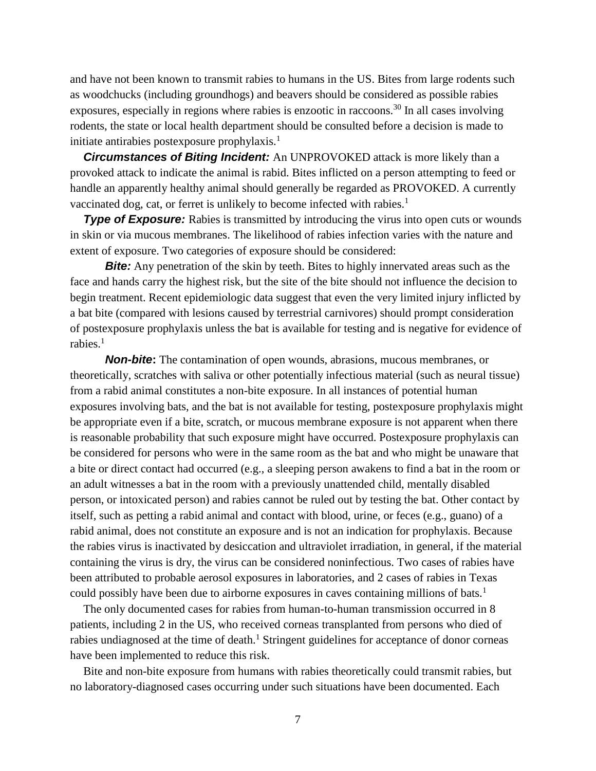and have not been known to transmit rabies to humans in the US. Bites from large rodents such as woodchucks (including groundhogs) and beavers should be considered as possible rabies exposures, especially in regions where rabies is enzootic in raccoons.<sup>30</sup> In all cases involving rodents, the state or local health department should be consulted before a decision is made to initiate antirabies postexposure prophylaxis.<sup>1</sup>

*Circumstances of Biting Incident:* An UNPROVOKED attack is more likely than a provoked attack to indicate the animal is rabid. Bites inflicted on a person attempting to feed or handle an apparently healthy animal should generally be regarded as PROVOKED. A currently vaccinated dog, cat, or ferret is unlikely to become infected with rabies.<sup>1</sup>

**Type of Exposure:** Rabies is transmitted by introducing the virus into open cuts or wounds in skin or via mucous membranes. The likelihood of rabies infection varies with the nature and extent of exposure. Two categories of exposure should be considered:

*Bite:* Any penetration of the skin by teeth. Bites to highly innervated areas such as the face and hands carry the highest risk, but the site of the bite should not influence the decision to begin treatment. Recent epidemiologic data suggest that even the very limited injury inflicted by a bat bite (compared with lesions caused by terrestrial carnivores) should prompt consideration of postexposure prophylaxis unless the bat is available for testing and is negative for evidence of rabies. 1

*Non-bite***:** The contamination of open wounds, abrasions, mucous membranes, or theoretically, scratches with saliva or other potentially infectious material (such as neural tissue) from a rabid animal constitutes a non-bite exposure. In all instances of potential human exposures involving bats, and the bat is not available for testing, postexposure prophylaxis might be appropriate even if a bite, scratch, or mucous membrane exposure is not apparent when there is reasonable probability that such exposure might have occurred. Postexposure prophylaxis can be considered for persons who were in the same room as the bat and who might be unaware that a bite or direct contact had occurred (e.g., a sleeping person awakens to find a bat in the room or an adult witnesses a bat in the room with a previously unattended child, mentally disabled person, or intoxicated person) and rabies cannot be ruled out by testing the bat. Other contact by itself, such as petting a rabid animal and contact with blood, urine, or feces (e.g., guano) of a rabid animal, does not constitute an exposure and is not an indication for prophylaxis. Because the rabies virus is inactivated by desiccation and ultraviolet irradiation, in general, if the material containing the virus is dry, the virus can be considered noninfectious. Two cases of rabies have been attributed to probable aerosol exposures in laboratories, and 2 cases of rabies in Texas could possibly have been due to airborne exposures in caves containing millions of bats.<sup>1</sup>

The only documented cases for rabies from human-to-human transmission occurred in 8 patients, including 2 in the US, who received corneas transplanted from persons who died of rabies undiagnosed at the time of death.<sup>1</sup> Stringent guidelines for acceptance of donor corneas have been implemented to reduce this risk.

Bite and non-bite exposure from humans with rabies theoretically could transmit rabies, but no laboratory-diagnosed cases occurring under such situations have been documented. Each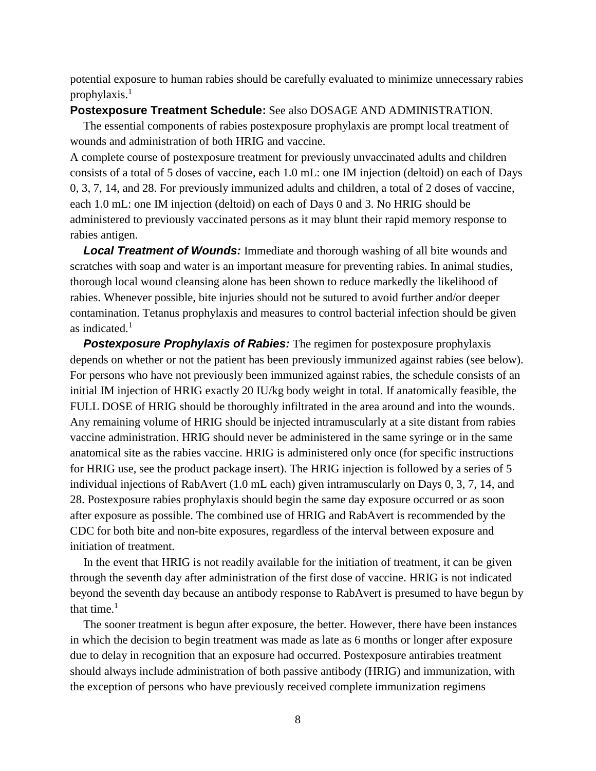potential exposure to human rabies should be carefully evaluated to minimize unnecessary rabies prophylaxis.<sup>1</sup>

#### **Postexposure Treatment Schedule:** See also DOSAGE AND ADMINISTRATION.

The essential components of rabies postexposure prophylaxis are prompt local treatment of wounds and administration of both HRIG and vaccine.

A complete course of postexposure treatment for previously unvaccinated adults and children consists of a total of 5 doses of vaccine, each 1.0 mL: one IM injection (deltoid) on each of Days 0, 3, 7, 14, and 28. For previously immunized adults and children, a total of 2 doses of vaccine, each 1.0 mL: one IM injection (deltoid) on each of Days 0 and 3. No HRIG should be administered to previously vaccinated persons as it may blunt their rapid memory response to rabies antigen.

*Local Treatment of Wounds:* Immediate and thorough washing of all bite wounds and scratches with soap and water is an important measure for preventing rabies. In animal studies, thorough local wound cleansing alone has been shown to reduce markedly the likelihood of rabies. Whenever possible, bite injuries should not be sutured to avoid further and/or deeper contamination. Tetanus prophylaxis and measures to control bacterial infection should be given as indicated. $<sup>1</sup>$ </sup>

**Postexposure Prophylaxis of Rabies:** The regimen for postexposure prophylaxis depends on whether or not the patient has been previously immunized against rabies (see below). For persons who have not previously been immunized against rabies, the schedule consists of an initial IM injection of HRIG exactly 20 IU/kg body weight in total. If anatomically feasible, the FULL DOSE of HRIG should be thoroughly infiltrated in the area around and into the wounds. Any remaining volume of HRIG should be injected intramuscularly at a site distant from rabies vaccine administration. HRIG should never be administered in the same syringe or in the same anatomical site as the rabies vaccine. HRIG is administered only once (for specific instructions for HRIG use, see the product package insert). The HRIG injection is followed by a series of 5 individual injections of RabAvert (1.0 mL each) given intramuscularly on Days 0, 3, 7, 14, and 28. Postexposure rabies prophylaxis should begin the same day exposure occurred or as soon after exposure as possible. The combined use of HRIG and RabAvert is recommended by the CDC for both bite and non-bite exposures, regardless of the interval between exposure and initiation of treatment.

In the event that HRIG is not readily available for the initiation of treatment, it can be given through the seventh day after administration of the first dose of vaccine. HRIG is not indicated beyond the seventh day because an antibody response to RabAvert is presumed to have begun by that time. $<sup>1</sup>$ </sup>

The sooner treatment is begun after exposure, the better. However, there have been instances in which the decision to begin treatment was made as late as 6 months or longer after exposure due to delay in recognition that an exposure had occurred. Postexposure antirabies treatment should always include administration of both passive antibody (HRIG) and immunization, with the exception of persons who have previously received complete immunization regimens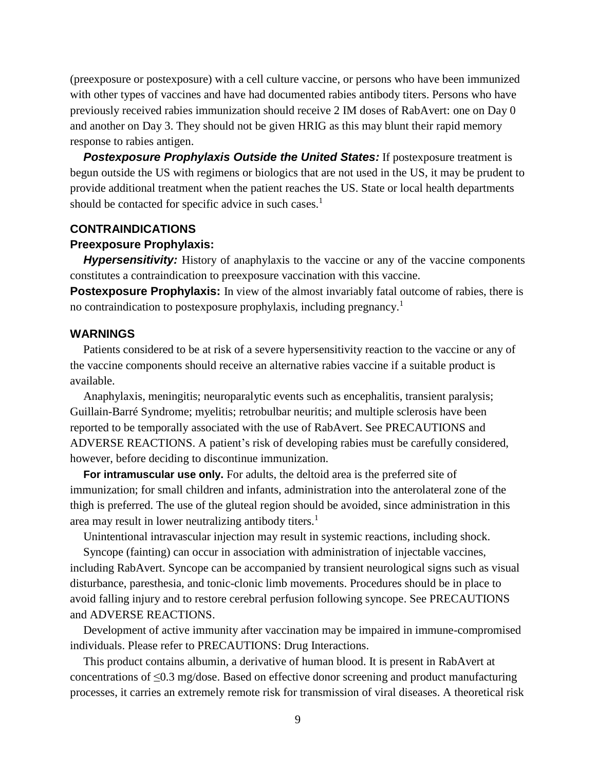(preexposure or postexposure) with a cell culture vaccine, or persons who have been immunized with other types of vaccines and have had documented rabies antibody titers. Persons who have previously received rabies immunization should receive 2 IM doses of RabAvert: one on Day 0 and another on Day 3. They should not be given HRIG as this may blunt their rapid memory response to rabies antigen.

**Postexposure Prophylaxis Outside the United States:** If postexposure treatment is begun outside the US with regimens or biologics that are not used in the US, it may be prudent to provide additional treatment when the patient reaches the US. State or local health departments should be contacted for specific advice in such cases.<sup>1</sup>

#### **CONTRAINDICATIONS**

#### **Preexposure Prophylaxis:**

**Hypersensitivity:** History of anaphylaxis to the vaccine or any of the vaccine components constitutes a contraindication to preexposure vaccination with this vaccine.

**Postexposure Prophylaxis:** In view of the almost invariably fatal outcome of rabies, there is no contraindication to postexposure prophylaxis, including pregnancy.<sup>1</sup>

#### **WARNINGS**

Patients considered to be at risk of a severe hypersensitivity reaction to the vaccine or any of the vaccine components should receive an alternative rabies vaccine if a suitable product is available.

Anaphylaxis, meningitis; neuroparalytic events such as encephalitis, transient paralysis; Guillain-Barré Syndrome; myelitis; retrobulbar neuritis; and multiple sclerosis have been reported to be temporally associated with the use of RabAvert. See PRECAUTIONS and ADVERSE REACTIONS. A patient's risk of developing rabies must be carefully considered, however, before deciding to discontinue immunization.

**For intramuscular use only.** For adults, the deltoid area is the preferred site of immunization; for small children and infants, administration into the anterolateral zone of the thigh is preferred. The use of the gluteal region should be avoided, since administration in this area may result in lower neutralizing antibody titers.<sup>1</sup>

Unintentional intravascular injection may result in systemic reactions, including shock.

Syncope (fainting) can occur in association with administration of injectable vaccines, including RabAvert. Syncope can be accompanied by transient neurological signs such as visual disturbance, paresthesia, and tonic-clonic limb movements. Procedures should be in place to avoid falling injury and to restore cerebral perfusion following syncope. See PRECAUTIONS and ADVERSE REACTIONS.

Development of active immunity after vaccination may be impaired in immune-compromised individuals. Please refer to PRECAUTIONS: Drug Interactions.

This product contains albumin, a derivative of human blood. It is present in RabAvert at concentrations of ≤0.3 mg/dose. Based on effective donor screening and product manufacturing processes, it carries an extremely remote risk for transmission of viral diseases. A theoretical risk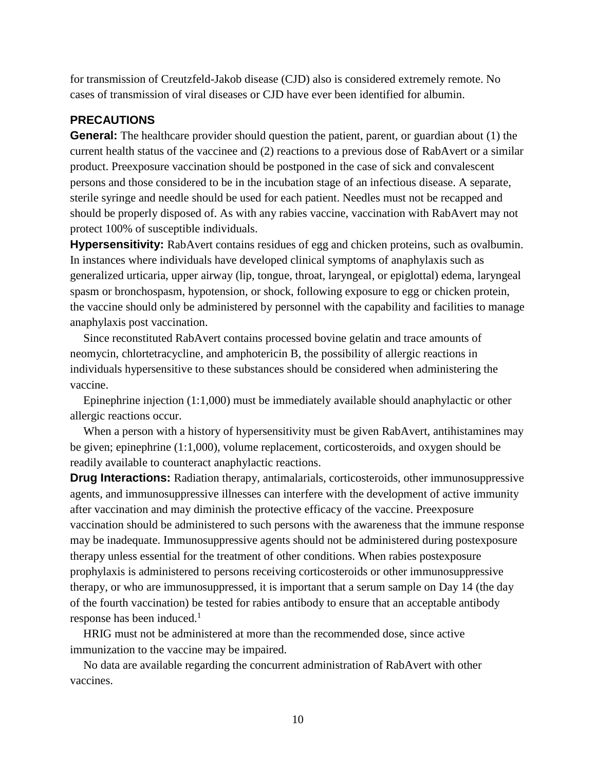for transmission of Creutzfeld-Jakob disease (CJD) also is considered extremely remote. No cases of transmission of viral diseases or CJD have ever been identified for albumin.

### **PRECAUTIONS**

**General:** The healthcare provider should question the patient, parent, or guardian about (1) the current health status of the vaccinee and (2) reactions to a previous dose of RabAvert or a similar product. Preexposure vaccination should be postponed in the case of sick and convalescent persons and those considered to be in the incubation stage of an infectious disease. A separate, sterile syringe and needle should be used for each patient. Needles must not be recapped and should be properly disposed of. As with any rabies vaccine, vaccination with RabAvert may not protect 100% of susceptible individuals.

**Hypersensitivity:** RabAvert contains residues of egg and chicken proteins, such as ovalbumin. In instances where individuals have developed clinical symptoms of anaphylaxis such as generalized urticaria, upper airway (lip, tongue, throat, laryngeal, or epiglottal) edema, laryngeal spasm or bronchospasm, hypotension, or shock, following exposure to egg or chicken protein, the vaccine should only be administered by personnel with the capability and facilities to manage anaphylaxis post vaccination.

Since reconstituted RabAvert contains processed bovine gelatin and trace amounts of neomycin, chlortetracycline, and amphotericin B, the possibility of allergic reactions in individuals hypersensitive to these substances should be considered when administering the vaccine.

Epinephrine injection (1:1,000) must be immediately available should anaphylactic or other allergic reactions occur.

When a person with a history of hypersensitivity must be given RabAvert, antihistamines may be given; epinephrine (1:1,000), volume replacement, corticosteroids, and oxygen should be readily available to counteract anaphylactic reactions.

**Drug Interactions:** Radiation therapy, antimalarials, corticosteroids, other immunosuppressive agents, and immunosuppressive illnesses can interfere with the development of active immunity after vaccination and may diminish the protective efficacy of the vaccine. Preexposure vaccination should be administered to such persons with the awareness that the immune response may be inadequate. Immunosuppressive agents should not be administered during postexposure therapy unless essential for the treatment of other conditions. When rabies postexposure prophylaxis is administered to persons receiving corticosteroids or other immunosuppressive therapy, or who are immunosuppressed, it is important that a serum sample on Day 14 (the day of the fourth vaccination) be tested for rabies antibody to ensure that an acceptable antibody response has been induced. $<sup>1</sup>$ </sup>

HRIG must not be administered at more than the recommended dose, since active immunization to the vaccine may be impaired.

No data are available regarding the concurrent administration of RabAvert with other vaccines.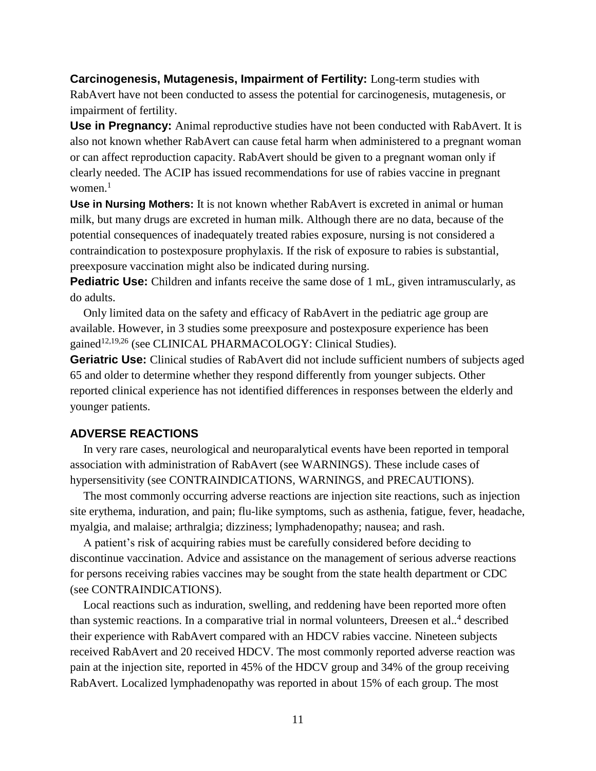**Carcinogenesis, Mutagenesis, Impairment of Fertility:** Long-term studies with RabAvert have not been conducted to assess the potential for carcinogenesis, mutagenesis, or impairment of fertility.

**Use in Pregnancy:** Animal reproductive studies have not been conducted with RabAvert. It is also not known whether RabAvert can cause fetal harm when administered to a pregnant woman or can affect reproduction capacity. RabAvert should be given to a pregnant woman only if clearly needed. The ACIP has issued recommendations for use of rabies vaccine in pregnant women. $<sup>1</sup>$ </sup>

**Use in Nursing Mothers:** It is not known whether RabAvert is excreted in animal or human milk, but many drugs are excreted in human milk. Although there are no data, because of the potential consequences of inadequately treated rabies exposure, nursing is not considered a contraindication to postexposure prophylaxis. If the risk of exposure to rabies is substantial, preexposure vaccination might also be indicated during nursing.

**Pediatric Use:** Children and infants receive the same dose of 1 mL, given intramuscularly, as do adults.

Only limited data on the safety and efficacy of RabAvert in the pediatric age group are available. However, in 3 studies some preexposure and postexposure experience has been gained<sup>12,19,26</sup> (see CLINICAL PHARMACOLOGY: Clinical Studies).

**Geriatric Use:** Clinical studies of RabAvert did not include sufficient numbers of subjects aged 65 and older to determine whether they respond differently from younger subjects. Other reported clinical experience has not identified differences in responses between the elderly and younger patients.

### **ADVERSE REACTIONS**

In very rare cases, neurological and neuroparalytical events have been reported in temporal association with administration of RabAvert (see WARNINGS). These include cases of hypersensitivity (see CONTRAINDICATIONS, WARNINGS, and PRECAUTIONS).

The most commonly occurring adverse reactions are injection site reactions, such as injection site erythema, induration, and pain; flu-like symptoms, such as asthenia, fatigue, fever, headache, myalgia, and malaise; arthralgia; dizziness; lymphadenopathy; nausea; and rash.

A patient's risk of acquiring rabies must be carefully considered before deciding to discontinue vaccination. Advice and assistance on the management of serious adverse reactions for persons receiving rabies vaccines may be sought from the state health department or CDC (see CONTRAINDICATIONS).

Local reactions such as induration, swelling, and reddening have been reported more often than systemic reactions. In a comparative trial in normal volunteers, Dreesen et al.*.* 4 described their experience with RabAvert compared with an HDCV rabies vaccine. Nineteen subjects received RabAvert and 20 received HDCV. The most commonly reported adverse reaction was pain at the injection site, reported in 45% of the HDCV group and 34% of the group receiving RabAvert. Localized lymphadenopathy was reported in about 15% of each group. The most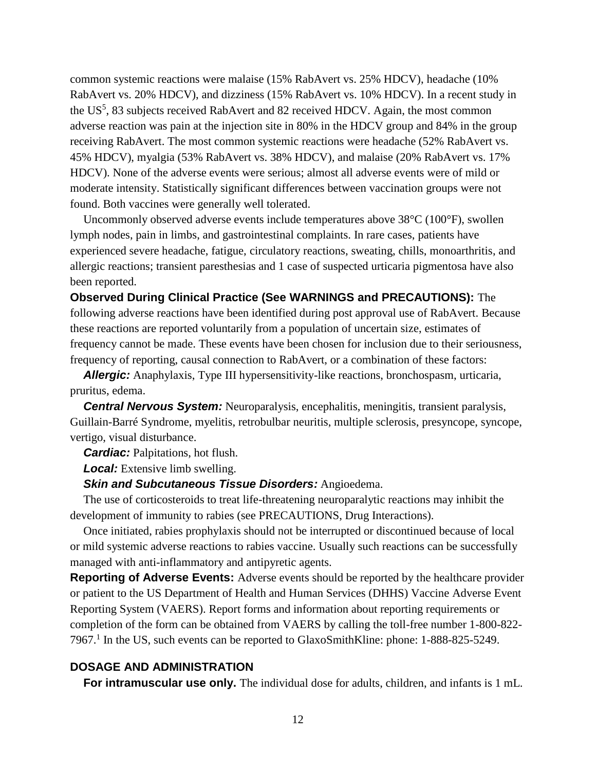common systemic reactions were malaise (15% RabAvert vs. 25% HDCV), headache (10% RabAvert vs. 20% HDCV), and dizziness (15% RabAvert vs. 10% HDCV). In a recent study in the US<sup>5</sup>, 83 subjects received RabAvert and 82 received HDCV. Again, the most common adverse reaction was pain at the injection site in 80% in the HDCV group and 84% in the group receiving RabAvert. The most common systemic reactions were headache (52% RabAvert vs. 45% HDCV), myalgia (53% RabAvert vs. 38% HDCV), and malaise (20% RabAvert vs. 17% HDCV). None of the adverse events were serious; almost all adverse events were of mild or moderate intensity. Statistically significant differences between vaccination groups were not found. Both vaccines were generally well tolerated.

Uncommonly observed adverse events include temperatures above 38°C (100°F), swollen lymph nodes, pain in limbs, and gastrointestinal complaints. In rare cases, patients have experienced severe headache, fatigue, circulatory reactions, sweating, chills, monoarthritis, and allergic reactions; transient paresthesias and 1 case of suspected urticaria pigmentosa have also been reported.

**Observed During Clinical Practice (See WARNINGS and PRECAUTIONS):** The following adverse reactions have been identified during post approval use of RabAvert. Because these reactions are reported voluntarily from a population of uncertain size, estimates of frequency cannot be made. These events have been chosen for inclusion due to their seriousness, frequency of reporting, causal connection to RabAvert, or a combination of these factors:

*Allergic:* Anaphylaxis, Type III hypersensitivity-like reactions, bronchospasm, urticaria, pruritus, edema.

*Central Nervous System:* Neuroparalysis, encephalitis, meningitis, transient paralysis, Guillain-Barré Syndrome, myelitis, retrobulbar neuritis, multiple sclerosis, presyncope, syncope, vertigo, visual disturbance.

*Cardiac:* Palpitations, hot flush.

*Local:* Extensive limb swelling.

*Skin and Subcutaneous Tissue Disorders:* Angioedema.

The use of corticosteroids to treat life-threatening neuroparalytic reactions may inhibit the development of immunity to rabies (see PRECAUTIONS, Drug Interactions).

Once initiated, rabies prophylaxis should not be interrupted or discontinued because of local or mild systemic adverse reactions to rabies vaccine. Usually such reactions can be successfully managed with anti-inflammatory and antipyretic agents.

**Reporting of Adverse Events:** Adverse events should be reported by the healthcare provider or patient to the US Department of Health and Human Services (DHHS) Vaccine Adverse Event Reporting System (VAERS). Report forms and information about reporting requirements or completion of the form can be obtained from VAERS by calling the toll-free number 1-800-822- 7967. 1 In the US, such events can be reported to GlaxoSmithKline: phone: 1-888-825-5249.

### **DOSAGE AND ADMINISTRATION**

**For intramuscular use only.** The individual dose for adults, children, and infants is 1 mL.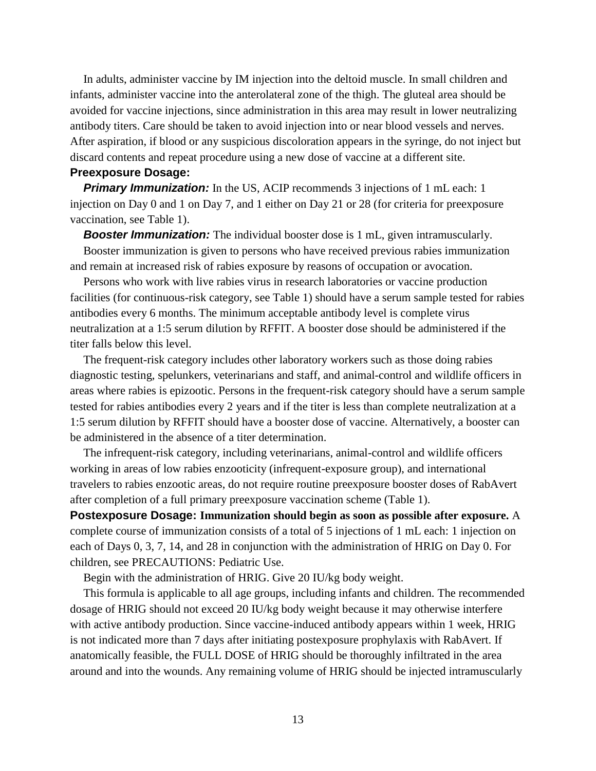In adults, administer vaccine by IM injection into the deltoid muscle. In small children and infants, administer vaccine into the anterolateral zone of the thigh. The gluteal area should be avoided for vaccine injections, since administration in this area may result in lower neutralizing antibody titers. Care should be taken to avoid injection into or near blood vessels and nerves. After aspiration, if blood or any suspicious discoloration appears in the syringe, do not inject but discard contents and repeat procedure using a new dose of vaccine at a different site.

#### **Preexposure Dosage:**

**Primary Immunization:** In the US, ACIP recommends 3 injections of 1 mL each: 1 injection on Day 0 and 1 on Day 7, and 1 either on Day 21 or 28 (for criteria for preexposure vaccination, see Table 1).

**Booster Immunization:** The individual booster dose is 1 mL, given intramuscularly.

Booster immunization is given to persons who have received previous rabies immunization and remain at increased risk of rabies exposure by reasons of occupation or avocation.

Persons who work with live rabies virus in research laboratories or vaccine production facilities (for continuous-risk category, see Table 1) should have a serum sample tested for rabies antibodies every 6 months. The minimum acceptable antibody level is complete virus neutralization at a 1:5 serum dilution by RFFIT. A booster dose should be administered if the titer falls below this level.

The frequent-risk category includes other laboratory workers such as those doing rabies diagnostic testing, spelunkers, veterinarians and staff, and animal-control and wildlife officers in areas where rabies is epizootic. Persons in the frequent-risk category should have a serum sample tested for rabies antibodies every 2 years and if the titer is less than complete neutralization at a 1:5 serum dilution by RFFIT should have a booster dose of vaccine. Alternatively, a booster can be administered in the absence of a titer determination.

The infrequent-risk category, including veterinarians, animal-control and wildlife officers working in areas of low rabies enzooticity (infrequent-exposure group), and international travelers to rabies enzootic areas, do not require routine preexposure booster doses of RabAvert after completion of a full primary preexposure vaccination scheme (Table 1).

**Postexposure Dosage: Immunization should begin as soon as possible after exposure.** A complete course of immunization consists of a total of 5 injections of 1 mL each: 1 injection on each of Days 0, 3, 7, 14, and 28 in conjunction with the administration of HRIG on Day 0. For children, see PRECAUTIONS: Pediatric Use.

Begin with the administration of HRIG. Give 20 IU/kg body weight.

This formula is applicable to all age groups, including infants and children. The recommended dosage of HRIG should not exceed 20 IU/kg body weight because it may otherwise interfere with active antibody production. Since vaccine-induced antibody appears within 1 week, HRIG is not indicated more than 7 days after initiating postexposure prophylaxis with RabAvert. If anatomically feasible, the FULL DOSE of HRIG should be thoroughly infiltrated in the area around and into the wounds. Any remaining volume of HRIG should be injected intramuscularly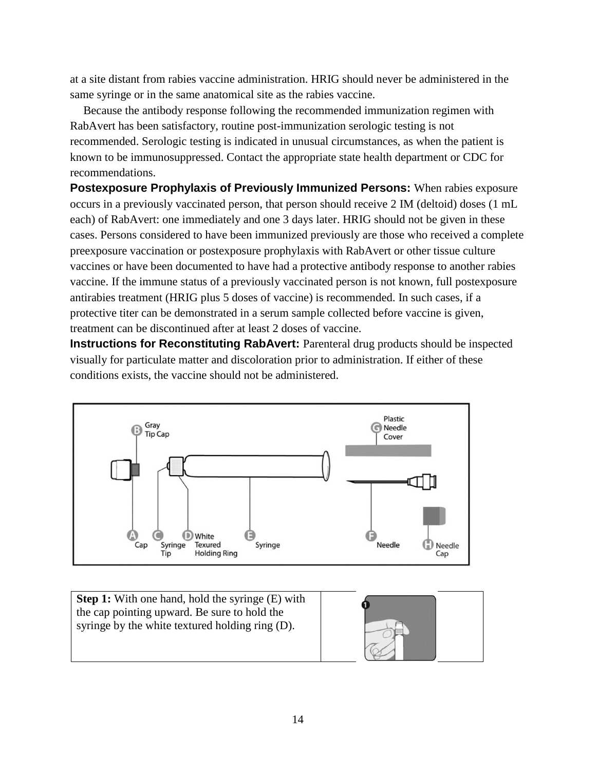at a site distant from rabies vaccine administration. HRIG should never be administered in the same syringe or in the same anatomical site as the rabies vaccine.

Because the antibody response following the recommended immunization regimen with RabAvert has been satisfactory, routine post-immunization serologic testing is not recommended. Serologic testing is indicated in unusual circumstances, as when the patient is known to be immunosuppressed. Contact the appropriate state health department or CDC for recommendations.

**Postexposure Prophylaxis of Previously Immunized Persons:** When rabies exposure occurs in a previously vaccinated person, that person should receive 2 IM (deltoid) doses (1 mL each) of RabAvert: one immediately and one 3 days later. HRIG should not be given in these cases. Persons considered to have been immunized previously are those who received a complete preexposure vaccination or postexposure prophylaxis with RabAvert or other tissue culture vaccines or have been documented to have had a protective antibody response to another rabies vaccine. If the immune status of a previously vaccinated person is not known, full postexposure antirabies treatment (HRIG plus 5 doses of vaccine) is recommended. In such cases, if a protective titer can be demonstrated in a serum sample collected before vaccine is given, treatment can be discontinued after at least 2 doses of vaccine.

**Instructions for Reconstituting RabAvert:** Parenteral drug products should be inspected visually for particulate matter and discoloration prior to administration. If either of these conditions exists, the vaccine should not be administered.



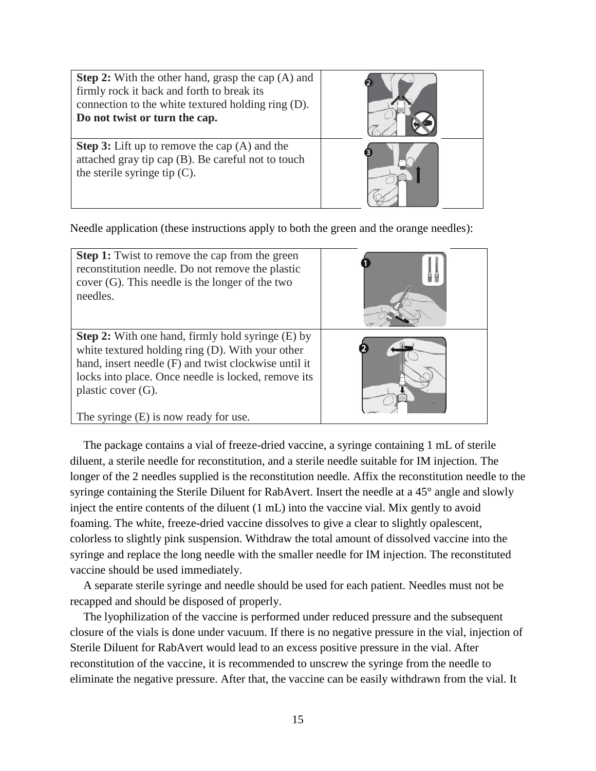| <b>Step 2:</b> With the other hand, grasp the cap (A) and<br>firmly rock it back and forth to break its<br>connection to the white textured holding ring (D).<br>Do not twist or turn the cap. |  |
|------------------------------------------------------------------------------------------------------------------------------------------------------------------------------------------------|--|
| <b>Step 3:</b> Lift up to remove the cap $(A)$ and the<br>attached gray tip cap (B). Be careful not to touch<br>the sterile syringe tip $(C)$ .                                                |  |

Needle application (these instructions apply to both the green and the orange needles):

| <b>Step 1:</b> Twist to remove the cap from the green<br>reconstitution needle. Do not remove the plastic<br>$cover(G)$ . This needle is the longer of the two<br>needles.                                                                                                                      |  |
|-------------------------------------------------------------------------------------------------------------------------------------------------------------------------------------------------------------------------------------------------------------------------------------------------|--|
| <b>Step 2:</b> With one hand, firmly hold syringe (E) by<br>white textured holding ring (D). With your other<br>hand, insert needle (F) and twist clockwise until it<br>locks into place. Once needle is locked, remove its<br>plastic cover $(G)$ .<br>The syringe $(E)$ is now ready for use. |  |

The package contains a vial of freeze-dried vaccine, a syringe containing 1 mL of sterile diluent, a sterile needle for reconstitution, and a sterile needle suitable for IM injection. The longer of the 2 needles supplied is the reconstitution needle. Affix the reconstitution needle to the syringe containing the Sterile Diluent for RabAvert. Insert the needle at a 45° angle and slowly inject the entire contents of the diluent (1 mL) into the vaccine vial. Mix gently to avoid foaming. The white, freeze-dried vaccine dissolves to give a clear to slightly opalescent, colorless to slightly pink suspension. Withdraw the total amount of dissolved vaccine into the syringe and replace the long needle with the smaller needle for IM injection. The reconstituted vaccine should be used immediately.

A separate sterile syringe and needle should be used for each patient. Needles must not be recapped and should be disposed of properly.

The lyophilization of the vaccine is performed under reduced pressure and the subsequent closure of the vials is done under vacuum. If there is no negative pressure in the vial, injection of Sterile Diluent for RabAvert would lead to an excess positive pressure in the vial. After reconstitution of the vaccine, it is recommended to unscrew the syringe from the needle to eliminate the negative pressure. After that, the vaccine can be easily withdrawn from the vial. It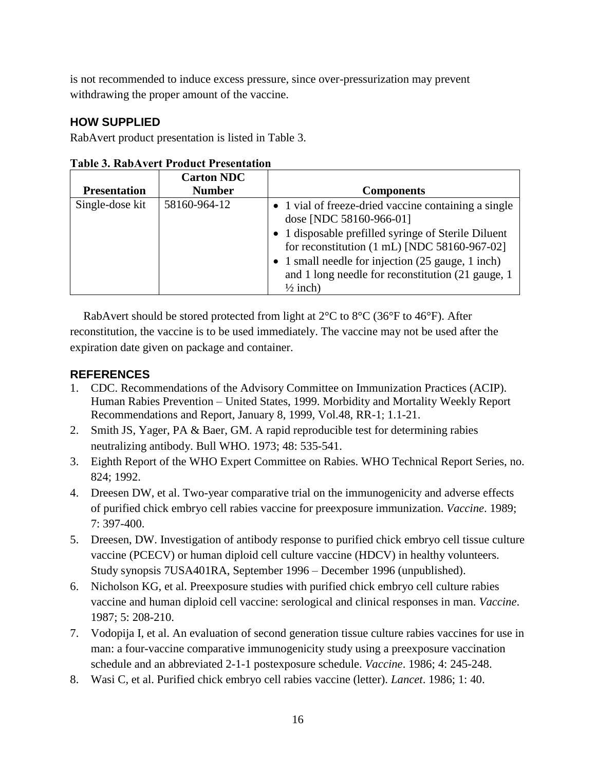is not recommended to induce excess pressure, since over-pressurization may prevent withdrawing the proper amount of the vaccine.

# **HOW SUPPLIED**

RabAvert product presentation is listed in Table 3.

|                     | <b>Carton NDC</b> |                                                                                                                                |
|---------------------|-------------------|--------------------------------------------------------------------------------------------------------------------------------|
| <b>Presentation</b> | <b>Number</b>     | <b>Components</b>                                                                                                              |
| Single-dose kit     | 58160-964-12      | • 1 vial of freeze-dried vaccine containing a single<br>dose [NDC 58160-966-01]                                                |
|                     |                   | • 1 disposable prefilled syringe of Sterile Diluent<br>for reconstitution $(1 \text{ mL})$ [NDC 58160-967-02]                  |
|                     |                   | • 1 small needle for injection (25 gauge, 1 inch)<br>and 1 long needle for reconstitution (21 gauge, 1)<br>$\frac{1}{2}$ inch) |

Table 3. RabAvert Product Presentation

RabAvert should be stored protected from light at 2°C to 8°C (36°F to 46°F). After reconstitution, the vaccine is to be used immediately. The vaccine may not be used after the expiration date given on package and container.

# **REFERENCES**

- 1. CDC. Recommendations of the Advisory Committee on Immunization Practices (ACIP). Human Rabies Prevention – United States, 1999. Morbidity and Mortality Weekly Report Recommendations and Report, January 8, 1999, Vol.48, RR-1; 1.1-21.
- 2. Smith JS, Yager, PA & Baer, GM. A rapid reproducible test for determining rabies neutralizing antibody. Bull WHO. 1973; 48: 535-541.
- 3. Eighth Report of the WHO Expert Committee on Rabies. WHO Technical Report Series, no. 824; 1992.
- 4. Dreesen DW, et al. Two-year comparative trial on the immunogenicity and adverse effects of purified chick embryo cell rabies vaccine for preexposure immunization. *Vaccine*. 1989; 7: 397-400.
- 5. Dreesen, DW. Investigation of antibody response to purified chick embryo cell tissue culture vaccine (PCECV) or human diploid cell culture vaccine (HDCV) in healthy volunteers. Study synopsis 7USA401RA, September 1996 – December 1996 (unpublished).
- 6. Nicholson KG, et al. Preexposure studies with purified chick embryo cell culture rabies vaccine and human diploid cell vaccine: serological and clinical responses in man. *Vaccine*. 1987; 5: 208-210.
- 7. Vodopija I, et al. An evaluation of second generation tissue culture rabies vaccines for use in man: a four-vaccine comparative immunogenicity study using a preexposure vaccination schedule and an abbreviated 2-1-1 postexposure schedule. *Vaccine*. 1986; 4: 245-248.
- 8. Wasi C, et al. Purified chick embryo cell rabies vaccine (letter). *Lancet*. 1986; 1: 40.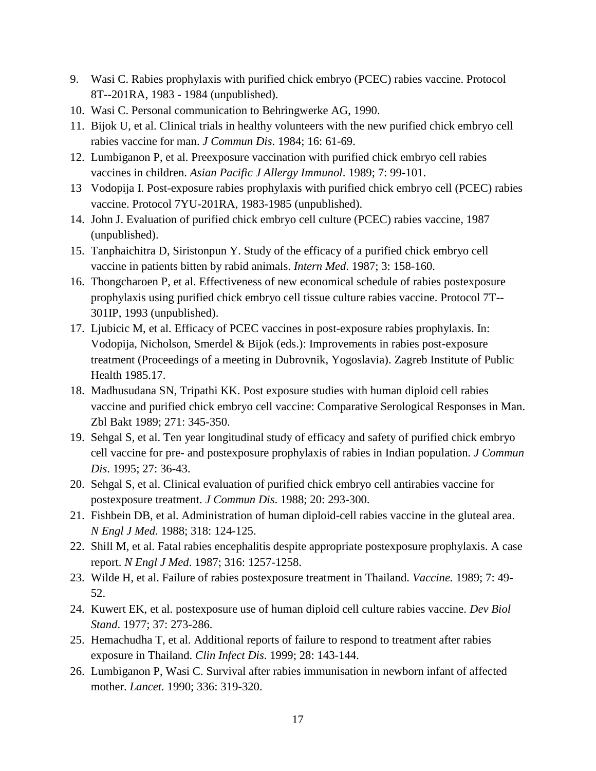- 9. Wasi C. Rabies prophylaxis with purified chick embryo (PCEC) rabies vaccine. Protocol 8T--201RA, 1983 - 1984 (unpublished).
- 10. Wasi C. Personal communication to Behringwerke AG, 1990.
- 11. Bijok U, et al. Clinical trials in healthy volunteers with the new purified chick embryo cell rabies vaccine for man. *J Commun Dis*. 1984; 16: 61-69.
- 12. Lumbiganon P, et al. Preexposure vaccination with purified chick embryo cell rabies vaccines in children. *Asian Pacific J Allergy Immunol*. 1989; 7: 99-101.
- 13 Vodopija I. Post-exposure rabies prophylaxis with purified chick embryo cell (PCEC) rabies vaccine. Protocol 7YU-201RA, 1983-1985 (unpublished).
- 14. John J. Evaluation of purified chick embryo cell culture (PCEC) rabies vaccine, 1987 (unpublished).
- 15. Tanphaichitra D, Siristonpun Y. Study of the efficacy of a purified chick embryo cell vaccine in patients bitten by rabid animals. *Intern Med*. 1987; 3: 158-160.
- 16. Thongcharoen P, et al. Effectiveness of new economical schedule of rabies postexposure prophylaxis using purified chick embryo cell tissue culture rabies vaccine. Protocol 7T-- 301IP, 1993 (unpublished).
- 17. Ljubicic M, et al. Efficacy of PCEC vaccines in post-exposure rabies prophylaxis. In: Vodopija, Nicholson, Smerdel & Bijok (eds.): Improvements in rabies post-exposure treatment (Proceedings of a meeting in Dubrovnik, Yogoslavia). Zagreb Institute of Public Health 1985.17.
- 18. Madhusudana SN, Tripathi KK. Post exposure studies with human diploid cell rabies vaccine and purified chick embryo cell vaccine: Comparative Serological Responses in Man. Zbl Bakt 1989; 271: 345-350.
- 19. Sehgal S, et al. Ten year longitudinal study of efficacy and safety of purified chick embryo cell vaccine for pre- and postexposure prophylaxis of rabies in Indian population. *J Commun Dis*. 1995; 27: 36-43.
- 20. Sehgal S, et al. Clinical evaluation of purified chick embryo cell antirabies vaccine for postexposure treatment. *J Commun Dis*. 1988; 20: 293-300.
- 21. Fishbein DB, et al. Administration of human diploid-cell rabies vaccine in the gluteal area. *N Engl J Med.* 1988; 318: 124-125.
- 22. Shill M, et al. Fatal rabies encephalitis despite appropriate postexposure prophylaxis. A case report. *N Engl J Med*. 1987; 316: 1257-1258.
- 23. Wilde H, et al. Failure of rabies postexposure treatment in Thailand. *Vaccine.* 1989; 7: 49- 52.
- 24. Kuwert EK, et al. postexposure use of human diploid cell culture rabies vaccine. *Dev Biol Stand*. 1977; 37: 273-286.
- 25. Hemachudha T, et al. Additional reports of failure to respond to treatment after rabies exposure in Thailand. *Clin Infect Dis*. 1999; 28: 143-144.
- 26. Lumbiganon P, Wasi C. Survival after rabies immunisation in newborn infant of affected mother. *Lancet.* 1990; 336: 319-320.